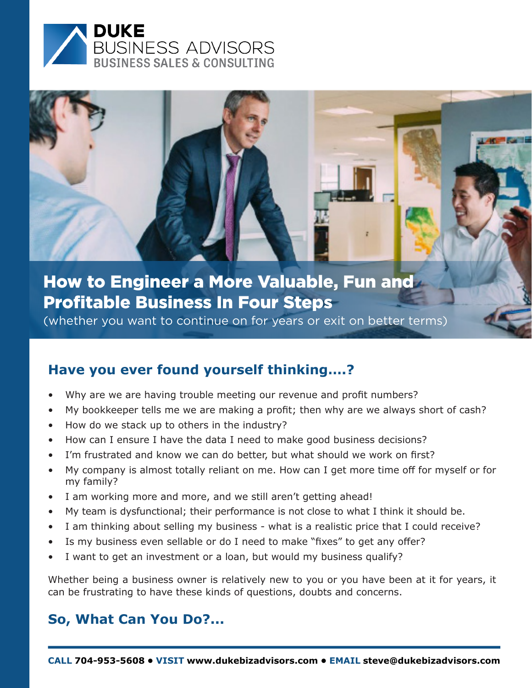

(whether you want to continue on for years or exit on better terms)

#### **Have you ever found yourself thinking….?**

- Why are we are having trouble meeting our revenue and profit numbers?
- My bookkeeper tells me we are making a proft; then why are we always short of cash?
- How do we stack up to others in the industry?
- How can I ensure I have the data I need to make good business decisions?
- I'm frustrated and know we can do better, but what should we work on first?
- My company is almost totally reliant on me. How can I get more time off for myself or for my family?
- I am working more and more, and we still aren't getting ahead!
- My team is dysfunctional; their performance is not close to what I think it should be.
- I am thinking about selling my business what is a realistic price that I could receive?
- Is my business even sellable or do I need to make "fixes" to get any offer?
- I want to get an investment or a loan, but would my business qualify?

Whether being a business owner is relatively new to you or you have been at it for years, it can be frustrating to have these kinds of questions, doubts and concerns.

#### **So, What Can You Do?...**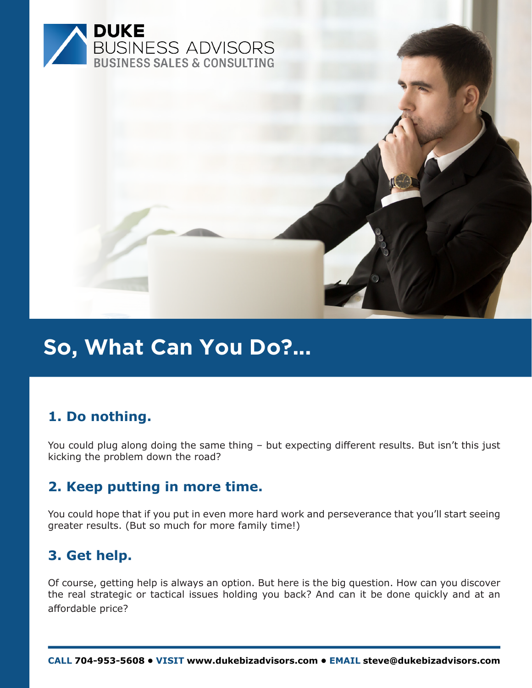

## **So, What Can You Do?...**

#### **1. Do nothing.**

You could plug along doing the same thing – but expecting diferent results. But isn't this just kicking the problem down the road?

#### **2. Keep putting in more time.**

You could hope that if you put in even more hard work and perseverance that you'll start seeing greater results. (But so much for more family time!)

#### **3. Get help.**

Of course, getting help is always an option. But here is the big question. How can you discover the real strategic or tactical issues holding you back? And can it be done quickly and at an affordable price?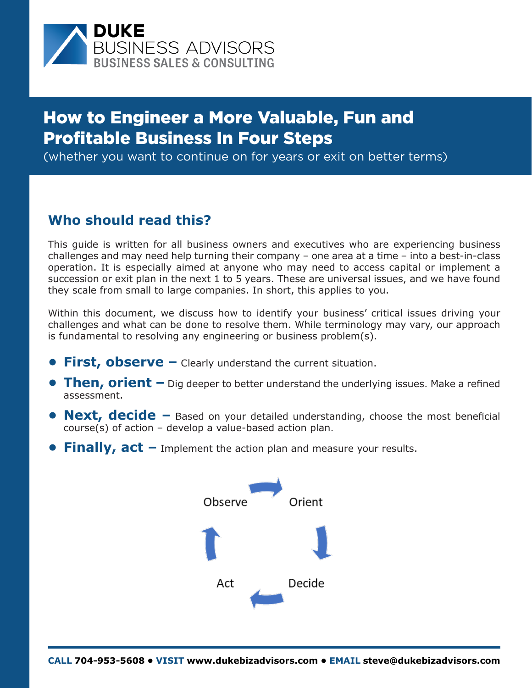

(whether you want to continue on for years or exit on better terms)

#### **Who should read this?**

This guide is written for all business owners and executives who are experiencing business challenges and may need help turning their company – one area at a time – into a best-in-class operation. It is especially aimed at anyone who may need to access capital or implement a succession or exit plan in the next 1 to 5 years. These are universal issues, and we have found they scale from small to large companies. In short, this applies to you.

Within this document, we discuss how to identify your business' critical issues driving your challenges and what can be done to resolve them. While terminology may vary, our approach is fundamental to resolving any engineering or business problem(s).

- **• First, observe –** Clearly understand the current situation.
- **Then, orient** Dig deeper to better understand the underlying issues. Make a refined assessment.
- **•** Next, decide Based on your detailed understanding, choose the most beneficial  $course(s)$  of action – develop a value-based action plan.
- **• Finally, act –** Implement the action plan and measure your results.

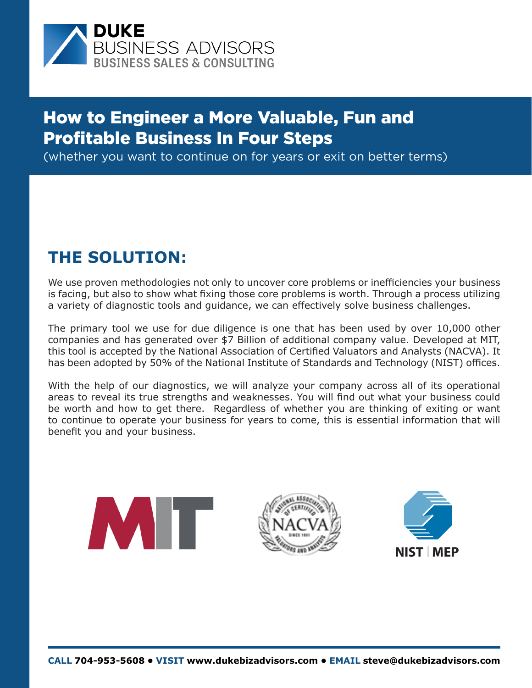

(whether you want to continue on for years or exit on better terms)

### **THE SOLUTION:**

We use proven methodologies not only to uncover core problems or inefficiencies your business is facing, but also to show what fixing those core problems is worth. Through a process utilizing a variety of diagnostic tools and guidance, we can efectively solve business challenges.

The primary tool we use for due diligence is one that has been used by over 10,000 other companies and has generated over \$7 Billion of additional company value. Developed at MIT, this tool is accepted by the National Association of Certifed Valuators and Analysts (NACVA). It has been adopted by 50% of the National Institute of Standards and Technology (NIST) offices.

With the help of our diagnostics, we will analyze your company across all of its operational areas to reveal its true strengths and weaknesses. You will fnd out what your business could be worth and how to get there. Regardless of whether you are thinking of exiting or want to continue to operate your business for years to come, this is essential information that will benefit you and your business.

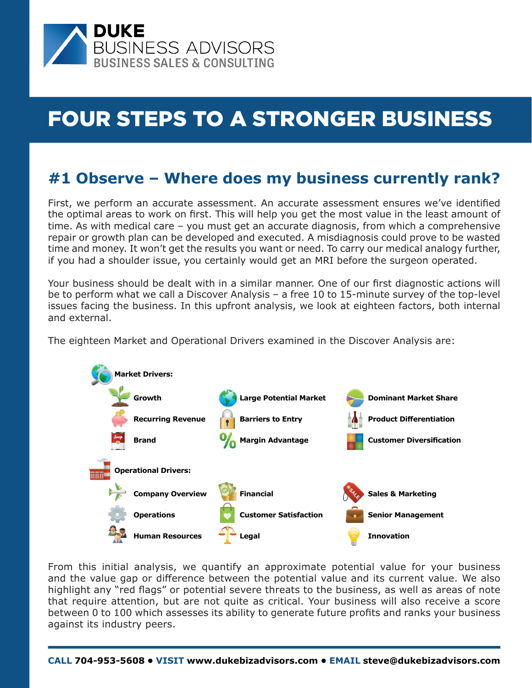

### **#1 Observe – Where does my business currently rank?**

First, we perform an accurate assessment. An accurate assessment ensures we've identifed the optimal areas to work on frst. This will help you get the most value in the least amount of time. As with medical care – you must get an accurate diagnosis, from which a comprehensive repair or growth plan can be developed and executed. A misdiagnosis could prove to be wasted time and money. It won't get the results you want or need. To carry our medical analogy further, if you had a shoulder issue, you certainly would get an MRI before the surgeon operated.

Your business should be dealt with in a similar manner. One of our frst diagnostic actions will be to perform what we call a Discover Analysis – a free 10 to 15-minute survey of the top-level issues facing the business. In this upfront analysis, we look at eighteen factors, both internal and external.

The eighteen Market and Operational Drivers examined in the Discover Analysis are:



From this initial analysis, we quantify an approximate potential value for your business and the value gap or diference between the potential value and its current value. We also highlight any "red fags" or potential severe threats to the business, as well as areas of note that require attention, but are not quite as critical. Your business will also receive a score between 0 to 100 which assesses its ability to generate future profts and ranks your business against its industry peers.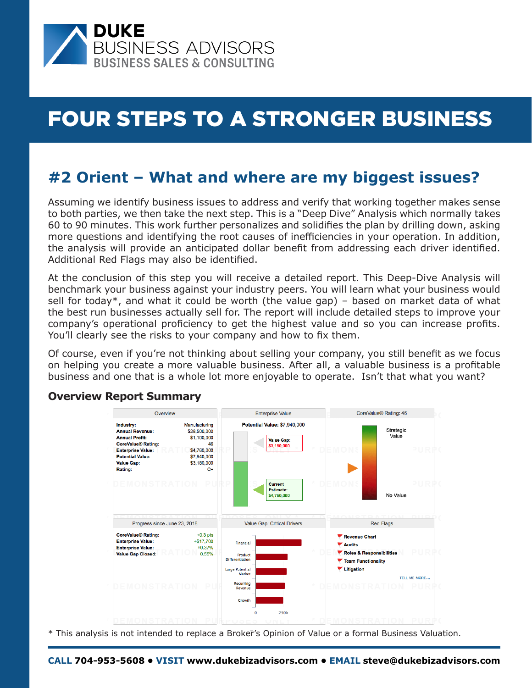

### **#2 Orient – What and where are my biggest issues?**

Assuming we identify business issues to address and verify that working together makes sense to both parties, we then take the next step. This is a "Deep Dive" Analysis which normally takes 60 to 90 minutes. This work further personalizes and solidifes the plan by drilling down, asking more questions and identifying the root causes of inefficiencies in your operation. In addition, the analysis will provide an anticipated dollar beneft from addressing each driver identifed. Additional Red Flags may also be identifed.

At the conclusion of this step you will receive a detailed report. This Deep-Dive Analysis will benchmark your business against your industry peers. You will learn what your business would sell for today\*, and what it could be worth (the value gap) – based on market data of what the best run businesses actually sell for. The report will include detailed steps to improve your company's operational proficiency to get the highest value and so you can increase profits. You'll clearly see the risks to your company and how to fix them.

Of course, even if you're not thinking about selling your company, you still beneft as we focus on helping you create a more valuable business. After all, a valuable business is a proftable business and one that is a whole lot more enjoyable to operate. Isn't that what you want?

#### **Overview Report Summary**



\* This analysis is not intended to replace a Broker's Opinion of Value or a formal Business Valuation.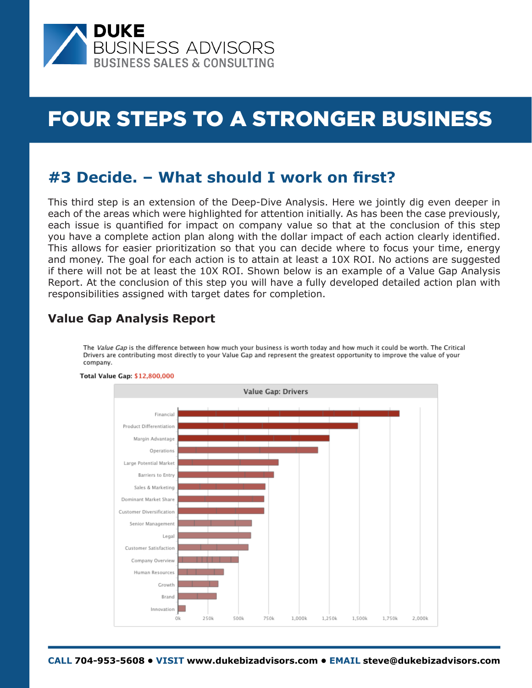

### **#3 Decide. – What should I work on frst?**

This third step is an extension of the Deep-Dive Analysis. Here we jointly dig even deeper in each of the areas which were highlighted for attention initially. As has been the case previously, each issue is quantifed for impact on company value so that at the conclusion of this step you have a complete action plan along with the dollar impact of each action clearly identifed. This allows for easier prioritization so that you can decide where to focus your time, energy and money. The goal for each action is to attain at least a 10X ROI. No actions are suggested if there will not be at least the 10X ROI. Shown below is an example of a Value Gap Analysis Report. At the conclusion of this step you will have a fully developed detailed action plan with responsibilities assigned with target dates for completion.

#### **Value Gap Analysis Report**

The Value Gap is the difference between how much your business is worth today and how much it could be worth. The Critical Drivers are contributing most directly to your Value Gap and represent the greatest opportunity to improve the value of your company.



#### Total Value Gap: \$12,800,000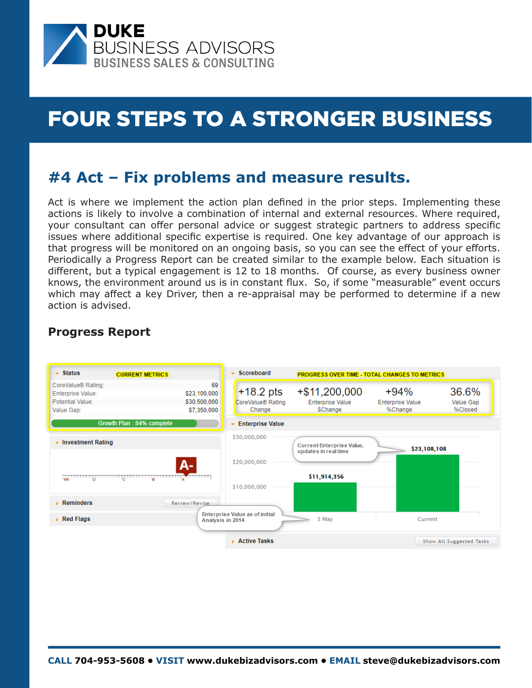

### **#4 Act – Fix problems and measure results.**

Act is where we implement the action plan defned in the prior steps. Implementing these actions is likely to involve a combination of internal and external resources. Where required, your consultant can ofer personal advice or suggest strategic partners to address specifc issues where additional specifc expertise is required. One key advantage of our approach is that progress will be monitored on an ongoing basis, so you can see the effect of your efforts. Periodically a Progress Report can be created similar to the example below. Each situation is diferent, but a typical engagement is 12 to 18 months. Of course, as every business owner knows, the environment around us is in constant fux. So, if some "measurable" event occurs which may afect a key Driver, then a re-appraisal may be performed to determine if a new action is advised.



#### **Progress Report**